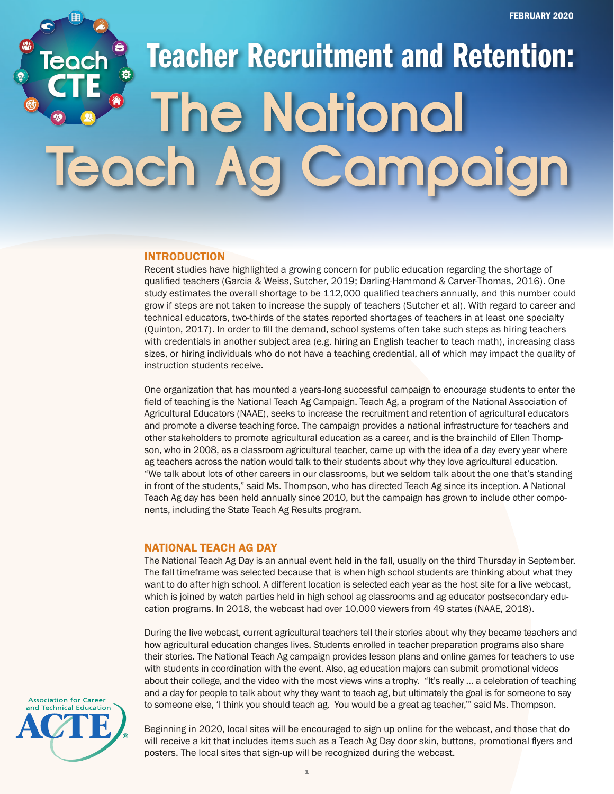# Teacher Recruitment and Retention: **The National Teach Ag Campaign**

## INTRODUCTION

Recent studies have highlighted a growing concern for public education regarding the shortage of qualified teachers (Garcia & Weiss, Sutcher, 2019; Darling-Hammond & Carver-Thomas, 2016). One study estimates the overall shortage to be 112,000 qualified teachers annually, and this number could grow if steps are not taken to increase the supply of teachers (Sutcher et al). With regard to career and technical educators, two-thirds of the states reported shortages of teachers in at least one specialty (Quinton, 2017). In order to fill the demand, school systems often take such steps as hiring teachers with credentials in another subject area (e.g. hiring an English teacher to teach math), increasing class sizes, or hiring individuals who do not have a teaching credential, all of which may impact the quality of instruction students receive.

One organization that has mounted a years-long successful campaign to encourage students to enter the field of teaching is the National Teach Ag Campaign. Teach Ag, a program of the National Association of Agricultural Educators (NAAE), seeks to increase the recruitment and retention of agricultural educators and promote a diverse teaching force. The campaign provides a national infrastructure for teachers and other stakeholders to promote agricultural education as a career, and is the brainchild of Ellen Thompson, who in 2008, as a classroom agricultural teacher, came up with the idea of a day every year where ag teachers across the nation would talk to their students about why they love agricultural education. "We talk about lots of other careers in our classrooms, but we seldom talk about the one that's standing in front of the students," said Ms. Thompson, who has directed Teach Ag since its inception. A National Teach Ag day has been held annually since 2010, but the campaign has grown to include other components, including the State Teach Ag Results program.

#### NATIONAL TEACH AG DAY

The National Teach Ag Day is an annual event held in the fall, usually on the third Thursday in September. The fall timeframe was selected because that is when high school students are thinking about what they want to do after high school. A different location is selected each year as the host site for a live webcast, which is joined by watch parties held in high school ag classrooms and ag educator postsecondary education programs. In 2018, the webcast had over 10,000 viewers from 49 states (NAAE, 2018).

During the live webcast, current agricultural teachers tell their stories about why they became teachers and how agricultural education changes lives. Students enrolled in teacher preparation programs also share their stories. The National Teach Ag campaign provides lesson plans and online games for teachers to use with students in coordination with the event. Also, ag education majors can submit promotional videos about their college, and the video with the most views wins a trophy. "It's really … a celebration of teaching and a day for people to talk about why they want to teach ag, but ultimately the goal is for someone to say to someone else, 'I think you should teach ag. You would be a great ag teacher,'" said Ms. Thompson.



Beginning in 2020, local sites will be encouraged to sign up online for the webcast, and those that do will receive a kit that includes items such as a Teach Ag Day door skin, buttons, promotional flyers and posters. The local sites that sign-up will be recognized during the webcast.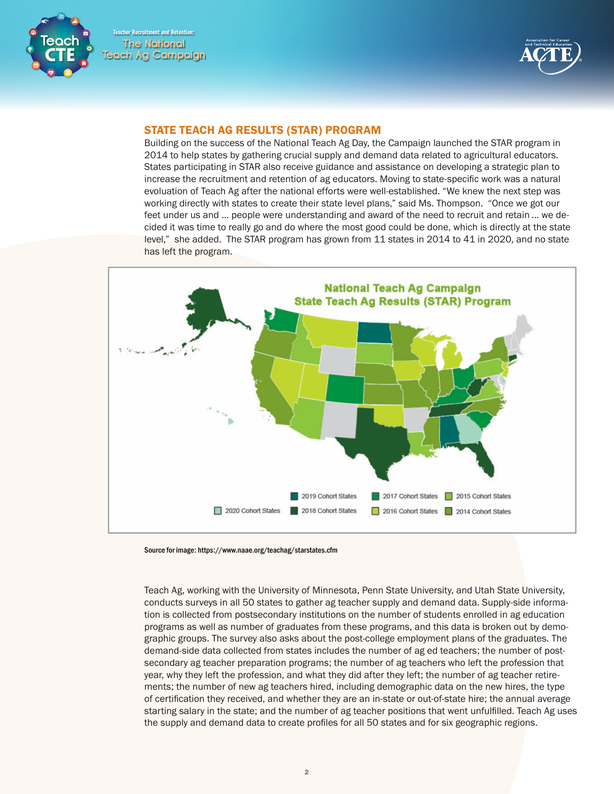Teacher Recruitment and Retention: **The National Teach Ag Campaign**



# STATE TEACH AG RESULTS (STAR) PROGRAM

Building on the success of the National Teach Ag Day, the Campaign launched the STAR program in 2014 to help states by gathering crucial supply and demand data related to agricultural educators. States participating in STAR also receive guidance and assistance on developing a strategic plan to increase the recruitment and retention of ag educators. Moving to state-specific work was a natural evoluation of Teach Ag after the national efforts were well-established. "We knew the next step was working directly with states to create their state level plans," said Ms. Thompson. "Once we got our feet under us and … people were understanding and award of the need to recruit and retain ... we decided it was time to really go and do where the most good could be done, which is directly at the state level," she added. The STAR program has grown from 11 states in 2014 to 41 in 2020, and no state has left the program.



Source for image: https://www.naae.org/teachag/starstates.cfm

Teach Ag, working with the University of Minnesota, Penn State University, and Utah State University, conducts surveys in all 50 states to gather ag teacher supply and demand data. Supply-side information is collected from postsecondary institutions on the number of students enrolled in ag education programs as well as number of graduates from these programs, and this data is broken out by demographic groups. The survey also asks about the post-college employment plans of the graduates. The demand-side data collected from states includes the number of ag ed teachers; the number of postsecondary ag teacher preparation programs; the number of ag teachers who left the profession that year, why they left the profession, and what they did after they left; the number of ag teacher retirements; the number of new ag teachers hired, including demographic data on the new hires, the type of certification they received, and whether they are an in-state or out-of-state hire; the annual average starting salary in the state; and the number of ag teacher positions that went unfulfilled. Teach Ag uses the supply and demand data to create profiles for all 50 states and for six geographic regions.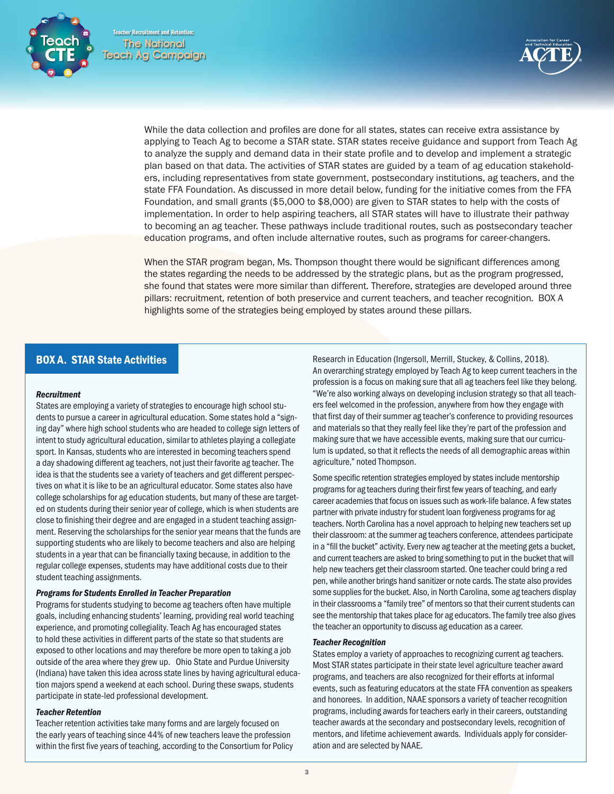Teacher Recruitment and Retention: **The National Teach Ag Campaign**





While the data collection and profiles are done for all states, states can receive extra assistance by applying to Teach Ag to become a STAR state. STAR states receive guidance and support from Teach Ag to analyze the supply and demand data in their state profile and to develop and implement a strategic plan based on that data. The activities of STAR states are guided by a team of ag education stakeholders, including representatives from state government, postsecondary institutions, ag teachers, and the state FFA Foundation. As discussed in more detail below, funding for the initiative comes from the FFA Foundation, and small grants (\$5,000 to \$8,000) are given to STAR states to help with the costs of implementation. In order to help aspiring teachers, all STAR states will have to illustrate their pathway to becoming an ag teacher. These pathways include traditional routes, such as postsecondary teacher education programs, and often include alternative routes, such as programs for career-changers.

When the STAR program began, Ms. Thompson thought there would be significant differences among the states regarding the needs to be addressed by the strategic plans, but as the program progressed, she found that states were more similar than different. Therefore, strategies are developed around three pillars: recruitment, retention of both preservice and current teachers, and teacher recognition. BOX A highlights some of the strategies being employed by states around these pillars.

# BOX A. STAR State Activities

#### *Recruitment*

States are employing a variety of strategies to encourage high school students to pursue a career in agricultural education. Some states hold a "signing day" where high school students who are headed to college sign letters of intent to study agricultural education, similar to athletes playing a collegiate sport. In Kansas, students who are interested in becoming teachers spend a day shadowing different ag teachers, not just their favorite ag teacher. The idea is that the students see a variety of teachers and get different perspectives on what it is like to be an agricultural educator. Some states also have college scholarships for ag education students, but many of these are targeted on students during their senior year of college, which is when students are close to finishing their degree and are engaged in a student teaching assignment. Reserving the scholarships for the senior year means that the funds are supporting students who are likely to become teachers and also are helping students in a year that can be financially taxing because, in addition to the regular college expenses, students may have additional costs due to their student teaching assignments.

#### *Programs for Students Enrolled in Teacher Preparation*

Programs for students studying to become ag teachers often have multiple goals, including enhancing students' learning, providing real world teaching experience, and promoting collegiality. Teach Ag has encouraged states to hold these activities in different parts of the state so that students are exposed to other locations and may therefore be more open to taking a job outside of the area where they grew up. Ohio State and Purdue University (Indiana) have taken this idea across state lines by having agricultural education majors spend a weekend at each school. During these swaps, students participate in state-led professional development.

#### *Teacher Retention*

Teacher retention activities take many forms and are largely focused on the early years of teaching since 44% of new teachers leave the profession within the first five years of teaching, according to the Consortium for Policy Research in Education (Ingersoll, Merrill, Stuckey, & Collins, 2018). An overarching strategy employed by Teach Ag to keep current teachers in the profession is a focus on making sure that all ag teachers feel like they belong. "We're also working always on developing inclusion strategy so that all teachers feel welcomed in the profession, anywhere from how they engage with that first day of their summer ag teacher's conference to providing resources and materials so that they really feel like they're part of the profession and making sure that we have accessible events, making sure that our curriculum is updated, so that it reflects the needs of all demographic areas within agriculture," noted Thompson.

Some specific retention strategies employed by states include mentorship programs for ag teachers during their first few years of teaching, and early career academies that focus on issues such as work-life balance. A few states partner with private industry for student loan forgiveness programs for ag teachers. North Carolina has a novel approach to helping new teachers set up their classroom: at the summer ag teachers conference, attendees participate in a "fill the bucket" activity. Every new ag teacher at the meeting gets a bucket, and current teachers are asked to bring something to put in the bucket that will help new teachers get their classroom started. One teacher could bring a red pen, while another brings hand sanitizer or note cards. The state also provides some supplies for the bucket. Also, in North Carolina, some ag teachers display in their classrooms a "family tree" of mentors so that their current students can see the mentorship that takes place for ag educators. The family tree also gives the teacher an opportunity to discuss ag education as a career.

## *Teacher Recognition*

States employ a variety of approaches to recognizing current ag teachers. Most STAR states participate in their state level agriculture teacher award programs, and teachers are also recognized for their efforts at informal events, such as featuring educators at the state FFA convention as speakers and honorees. In addition, NAAE sponsors a variety of teacher recognition programs, including awards for teachers early in their careers, outstanding teacher awards at the secondary and postsecondary levels, recognition of mentors, and lifetime achievement awards. Individuals apply for consideration and are selected by NAAE.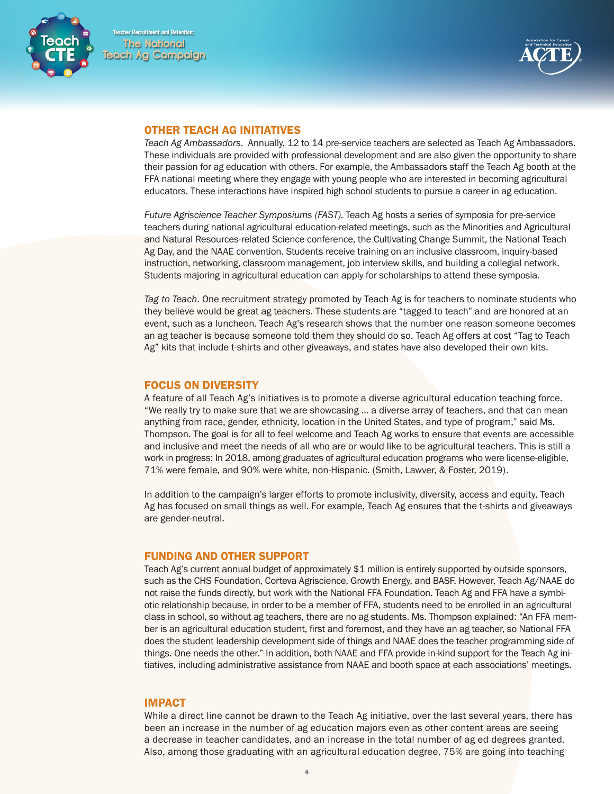



## OTHER TEACH AG INITIATIVES

*Teach Ag Ambassadors*. Annually, 12 to 14 pre-service teachers are selected as Teach Ag Ambassadors. These individuals are provided with professional development and are also given the opportunity to share their passion for ag education with others. For example, the Ambassadors staff the Teach Ag booth at the FFA national meeting where they engage with young people who are interested in becoming agricultural educators. These interactions have inspired high school students to pursue a career in ag education.

*Future Agriscience Teacher Symposiums (FAST)*. Teach Ag hosts a series of symposia for pre-service teachers during national agricultural education-related meetings, such as the Minorities and Agricultural and Natural Resources-related Science conference, the Cultivating Change Summit, the National Teach Ag Day, and the NAAE convention. Students receive training on an inclusive classroom, inquiry-based instruction, networking, classroom management, job interview skills, and building a collegial network. Students majoring in agricultural education can apply for scholarships to attend these symposia.

*Tag to Teach*. One recruitment strategy promoted by Teach Ag is for teachers to nominate students who they believe would be great ag teachers. These students are "tagged to teach" and are honored at an event, such as a luncheon. Teach Ag's research shows that the number one reason someone becomes an ag teacher is because someone told them they should do so. Teach Ag offers at cost "Tag to Teach Ag" kits that include t-shirts and other giveaways, and states have also developed their own kits.

# FOCUS ON DIVERSITY

A feature of all Teach Ag's initiatives is to promote a diverse agricultural education teaching force. "We really try to make sure that we are showcasing … a diverse array of teachers, and that can mean anything from race, gender, ethnicity, location in the United States, and type of program," said Ms. Thompson. The goal is for all to feel welcome and Teach Ag works to ensure that events are accessible and inclusive and meet the needs of all who are or would like to be agricultural teachers. This is still a work in progress: In 2018, among graduates of agricultural education programs who were license-eligible, 71% were female, and 90% were white, non-Hispanic. (Smith, Lawver, & Foster, 2019).

In addition to the campaign's larger efforts to promote inclusivity, diversity, access and equity, Teach Ag has focused on small things as well. For example, Teach Ag ensures that the t-shirts and giveaways are gender-neutral.

# FUNDING AND OTHER SUPPORT

Teach Ag's current annual budget of approximately \$1 million is entirely supported by outside sponsors, such as the CHS Foundation, Corteva Agriscience, Growth Energy, and BASF. However, Teach Ag/NAAE do not raise the funds directly, but work with the National FFA Foundation. Teach Ag and FFA have a symbiotic relationship because, in order to be a member of FFA, students need to be enrolled in an agricultural class in school, so without ag teachers, there are no ag students. Ms. Thompson explained: "An FFA member is an agricultural education student, first and foremost, and they have an ag teacher, so National FFA does the student leadership development side of things and NAAE does the teacher programming side of things. One needs the other." In addition, both NAAE and FFA provide in-kind support for the Teach Ag initiatives, including administrative assistance from NAAE and booth space at each associations' meetings.

# **IMPACT**

While a direct line cannot be drawn to the Teach Ag initiative, over the last several years, there has been an increase in the number of ag education majors even as other content areas are seeing a decrease in teacher candidates, and an increase in the total number of ag ed degrees granted. Also, among those graduating with an agricultural education degree, 75% are going into teaching